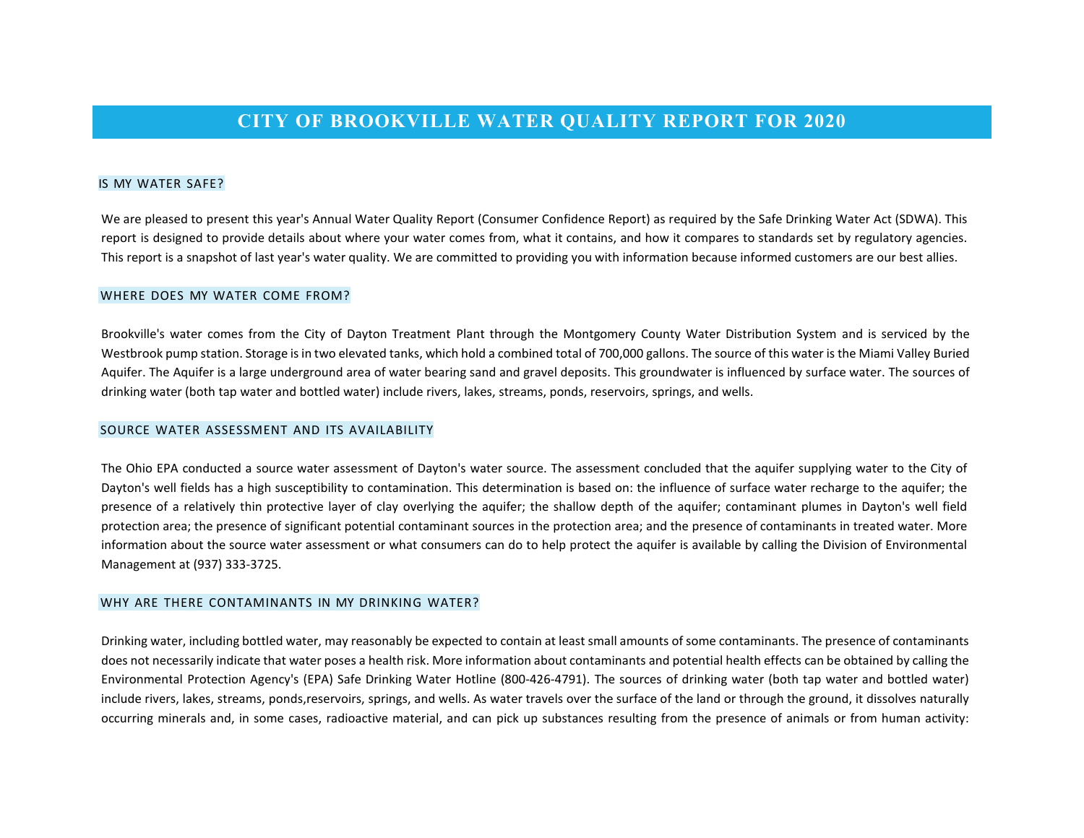## **CITY OF BROOKVILLE WATER QUALITY REPORT FOR 2020**

#### IS MY WATER SAFE?

We are pleased to present this year's Annual Water Quality Report (Consumer Confidence Report) as required by the Safe Drinking Water Act (SDWA). This report is designed to provide details about where your water comes from, what it contains, and how it compares to standards set by regulatory agencies. This report is a snapshot of last year's water quality. We are committed to providing you with information because informed customers are our best allies.

#### WHERE DOES MY WATER COME FROM?

Brookville's water comes from the City of Dayton Treatment Plant through the Montgomery County Water Distribution System and is serviced by the Westbrook pump station. Storage is in two elevated tanks, which hold a combined total of 700,000 gallons. The source of this water is the Miami Valley Buried Aquifer. The Aquifer is a large underground area of water bearing sand and gravel deposits. This groundwater is influenced by surface water. The sources of drinking water (both tap water and bottled water) include rivers, lakes, streams, ponds, reservoirs, springs, and wells.

#### SOURCE WATER ASSESSMENT AND ITS AVAILABILITY

The Ohio EPA conducted a source water assessment of Dayton's water source. The assessment concluded that the aquifer supplying water to the City of Dayton's well fields has a high susceptibility to contamination. This determination is based on: the influence of surface water recharge to the aquifer; the presence of a relatively thin protective layer of clay overlying the aquifer; the shallow depth of the aquifer; contaminant plumes in Dayton's well field protection area; the presence of significant potential contaminant sources in the protection area; and the presence of contaminants in treated water. More information about the source water assessment or what consumers can do to help protect the aquifer is available by calling the Division of Environmental Management at (937) 333-3725.

#### WHY ARE THERE CONTAMINANTS IN MY DRINKING WATER?

Drinking water, including bottled water, may reasonably be expected to contain at least small amounts of some contaminants. The presence of contaminants does not necessarily indicate that water poses a health risk. More information about contaminants and potential health effects can be obtained by calling the Environmental Protection Agency's (EPA) Safe Drinking Water Hotline (800-426-4791). The sources of drinking water (both tap water and bottled water) include rivers, lakes, streams, ponds,reservoirs, springs, and wells. As water travels over the surface of the land or through the ground, it dissolves naturally occurring minerals and, in some cases, radioactive material, and can pick up substances resulting from the presence of animals or from human activity: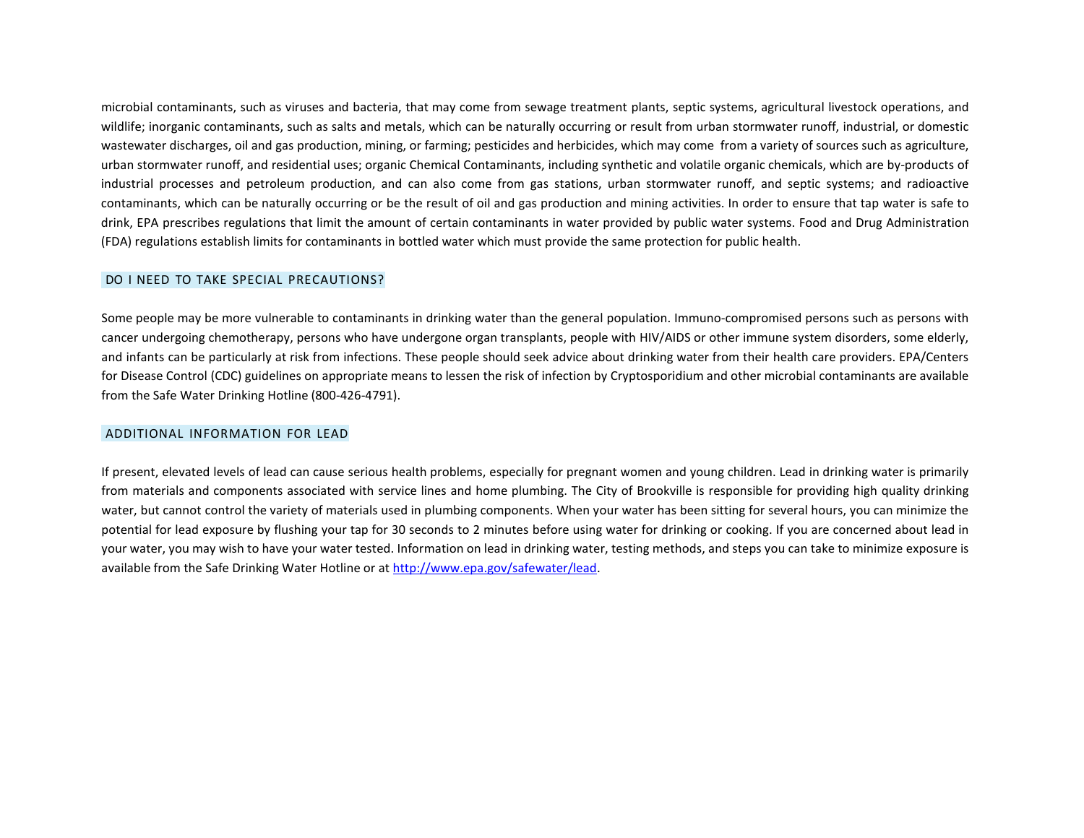microbial contaminants, such as viruses and bacteria, that may come from sewage treatment plants, septic systems, agricultural livestock operations, and wildlife; inorganic contaminants, such as salts and metals, which can be naturally occurring or result from urban stormwater runoff, industrial, or domestic wastewater discharges, oil and gas production, mining, or farming; pesticides and herbicides, which may come from a variety of sources such as agriculture, urban stormwater runoff, and residential uses; organic Chemical Contaminants, including synthetic and volatile organic chemicals, which are by-products of industrial processes and petroleum production, and can also come from gas stations, urban stormwater runoff, and septic systems; and radioactive contaminants, which can be naturally occurring or be the result of oil and gas production and mining activities. In order to ensure that tap water is safe to drink, EPA prescribes regulations that limit the amount of certain contaminants in water provided by public water systems. Food and Drug Administration (FDA) regulations establish limits for contaminants in bottled water which must provide the same protection for public health.

#### DO I NEED TO TAKE SPECIAL PRECAUTIONS?

Some people may be more vulnerable to contaminants in drinking water than the general population. Immuno-compromised persons such as persons with cancer undergoing chemotherapy, persons who have undergone organ transplants, people with HIV/AIDS or other immune system disorders, some elderly, and infants can be particularly at risk from infections. These people should seek advice about drinking water from their health care providers. EPA/Centers for Disease Control (CDC) guidelines on appropriate means to lessen the risk of infection by Cryptosporidium and other microbial contaminants are available from the Safe Water Drinking Hotline (800-426-4791).

#### ADDITIONAL INFORMATION FOR LEAD

If present, elevated levels of lead can cause serious health problems, especially for pregnant women and young children. Lead in drinking water is primarily from materials and components associated with service lines and home plumbing. The City of Brookville is responsible for providing high quality drinking water, but cannot control the variety of materials used in plumbing components. When your water has been sitting for several hours, you can minimize the potential for lead exposure by flushing your tap for 30 seconds to 2 minutes before using water for drinking or cooking. If you are concerned about lead in your water, you may wish to have your water tested. Information on lead in drinking water, testing methods, and steps you can take to minimize exposure is available from the Safe Drinking Water Hotline or at [http://www.epa.gov/safewater/lead.](http://www.epa.gov/safewater/lead)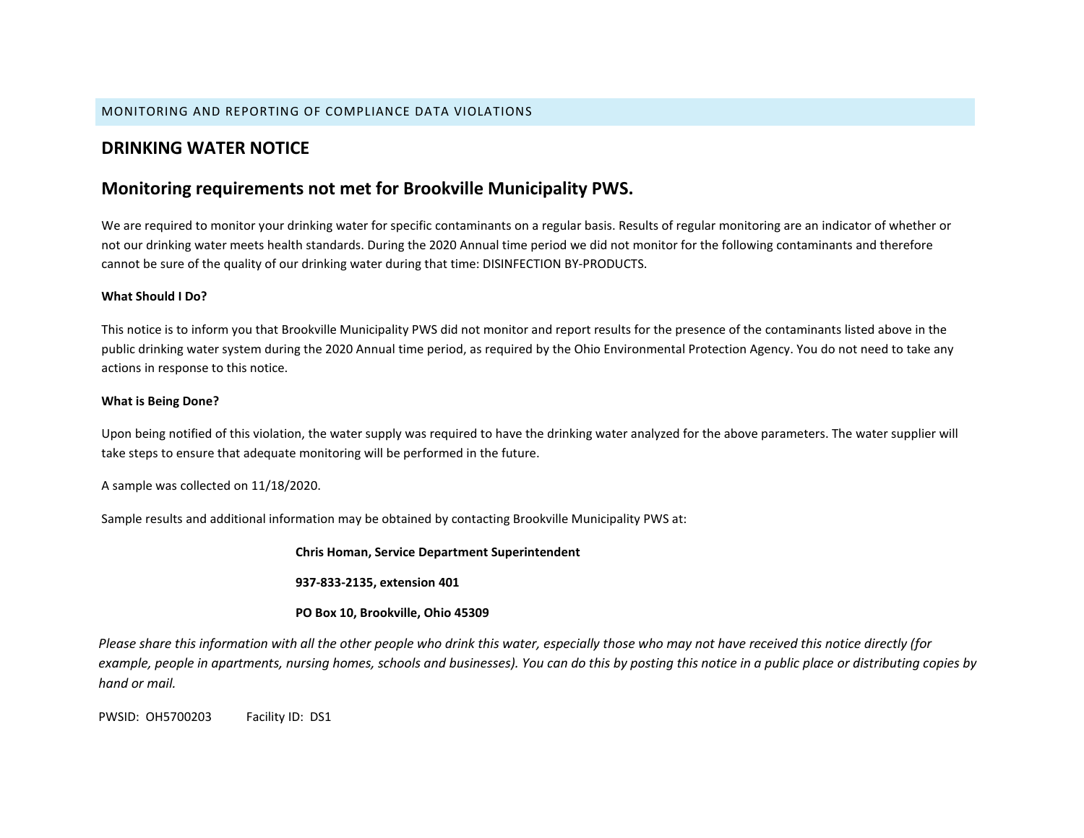#### MONITORING AND REPORTING OF COMPLIANCE DATA VIOLATIONS

## **DRINKING WATER NOTICE**

### **Monitoring requirements not met for Brookville Municipality PWS.**

We are required to monitor your drinking water for specific contaminants on a regular basis. Results of regular monitoring are an indicator of whether or not our drinking water meets health standards. During the 2020 Annual time period we did not monitor for the following contaminants and therefore cannot be sure of the quality of our drinking water during that time: DISINFECTION BY-PRODUCTS.

#### **What Should I Do?**

This notice is to inform you that Brookville Municipality PWS did not monitor and report results for the presence of the contaminants listed above in the public drinking water system during the 2020 Annual time period, as required by the Ohio Environmental Protection Agency. You do not need to take any actions in response to this notice.

#### **What is Being Done?**

Upon being notified of this violation, the water supply was required to have the drinking water analyzed for the above parameters. The water supplier will take steps to ensure that adequate monitoring will be performed in the future.

A sample was collected on 11/18/2020.

Sample results and additional information may be obtained by contacting Brookville Municipality PWS at:

**Chris Homan, Service Department Superintendent**

**937-833-2135, extension 401**

**PO Box 10, Brookville, Ohio 45309**

*Please share this information with all the other people who drink this water, especially those who may not have received this notice directly (for example, people in apartments, nursing homes, schools and businesses). You can do this by posting this notice in a public place or distributing copies by hand or mail.* 

PWSID: OH5700203 Facility ID: DS1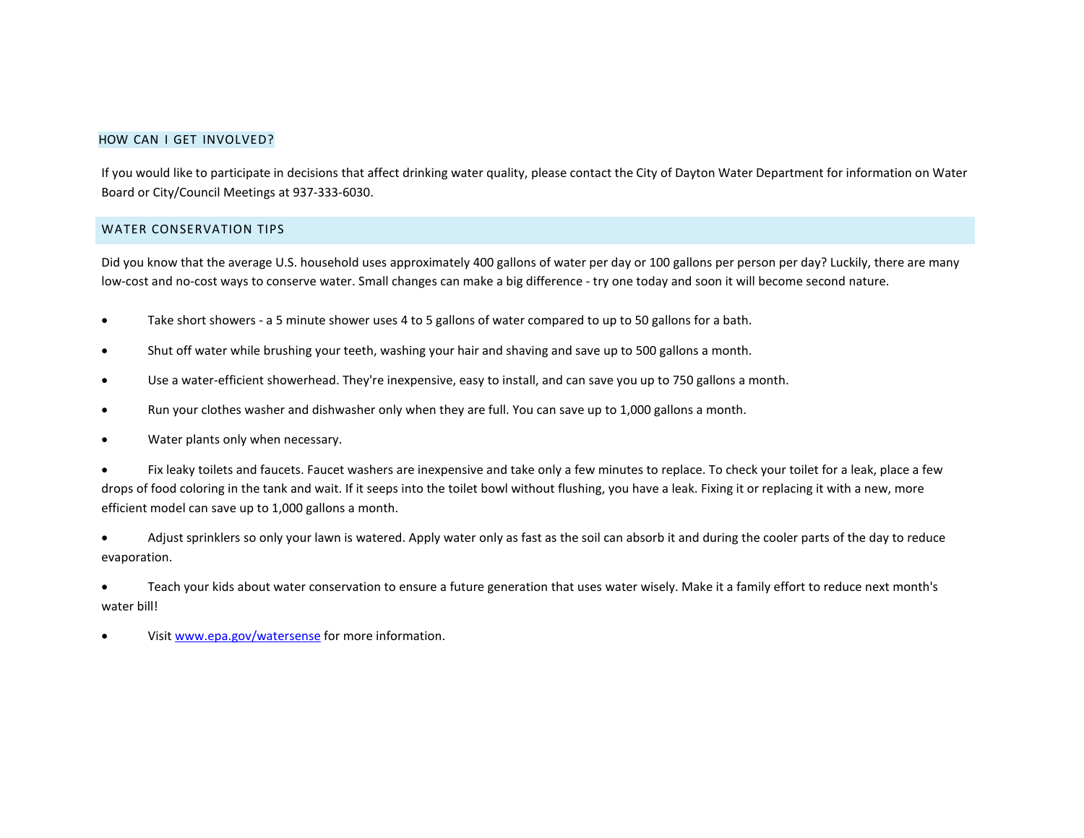#### HOW CAN I GET INVOLVED?

If you would like to participate in decisions that affect drinking water quality, please contact the City of Dayton Water Department for information on Water Board or City/Council Meetings at 937-333-6030.

#### WATER CONSERVATION TIPS

Did you know that the average U.S. household uses approximately 400 gallons of water per day or 100 gallons per person per day? Luckily, there are many low-cost and no-cost ways to conserve water. Small changes can make a big difference - try one today and soon it will become second nature.

- Take short showers a 5 minute shower uses 4 to 5 gallons of water compared to up to 50 gallons for a bath.
- Shut off water while brushing your teeth, washing your hair and shaving and save up to 500 gallons a month.
- Use a water-efficient showerhead. They're inexpensive, easy to install, and can save you up to 750 gallons a month.
- Run your clothes washer and dishwasher only when they are full. You can save up to 1,000 gallons a month.
- Water plants only when necessary.

• Fix leaky toilets and faucets. Faucet washers are inexpensive and take only a few minutes to replace. To check your toilet for a leak, place a few drops of food coloring in the tank and wait. If it seeps into the toilet bowl without flushing, you have a leak. Fixing it or replacing it with a new, more efficient model can save up to 1,000 gallons a month.

• Adjust sprinklers so only your lawn is watered. Apply water only as fast as the soil can absorb it and during the cooler parts of the day to reduce evaporation.

• Teach your kids about water conservation to ensure a future generation that uses water wisely. Make it a family effort to reduce next month's water bill!

• Visit [www.epa.gov/watersense](http://www.epa.gov/watersense) for more information.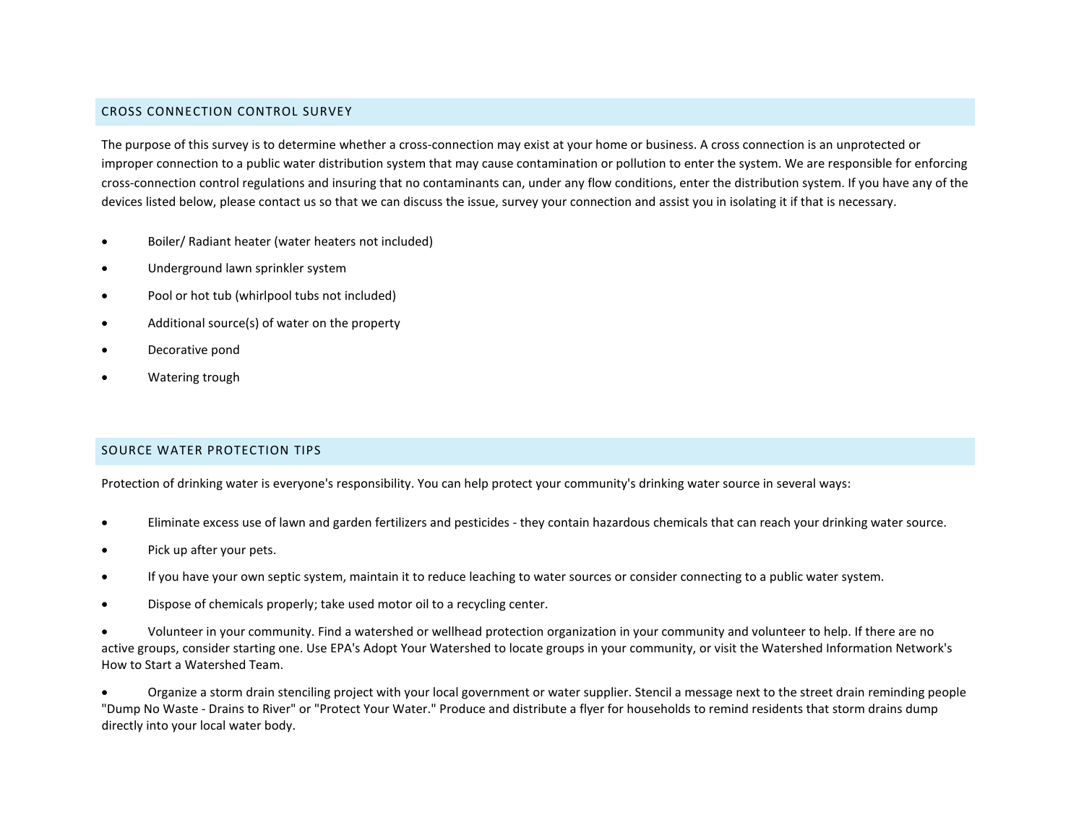#### CROSS CONNECTION CONTROL SURVEY

The purpose of this survey is to determine whether a cross-connection may exist at your home or business. A cross connection is an unprotected or improper connection to a public water distribution system that may cause contamination or pollution to enter the system. We are responsible for enforcing cross-connection control regulations and insuring that no contaminants can, under any flow conditions, enter the distribution system. If you have any of the devices listed below, please contact us so that we can discuss the issue, survey your connection and assist you in isolating it if that is necessary.

- Boiler/ Radiant heater (water heaters not included)
- Underground lawn sprinkler system
- Pool or hot tub (whirlpool tubs not included)
- Additional source(s) of water on the property
- Decorative pond
- Watering trough

#### SOURCE WATER PROTECTION TIPS

Protection of drinking water is everyone's responsibility. You can help protect your community's drinking water source in several ways:

- Eliminate excess use of lawn and garden fertilizers and pesticides they contain hazardous chemicals that can reach your drinking water source.
- Pick up after your pets.
- If you have your own septic system, maintain it to reduce leaching to water sources or consider connecting to a public water system.
- Dispose of chemicals properly; take used motor oil to a recycling center.

• Volunteer in your community. Find a watershed or wellhead protection organization in your community and volunteer to help. If there are no active groups, consider starting one. Use EPA's Adopt Your Watershed to locate groups in your community, or visit the Watershed Information Network's How to Start a Watershed Team.

• Organize a storm drain stenciling project with your local government or water supplier. Stencil a message next to the street drain reminding people "Dump No Waste - Drains to River" or "Protect Your Water." Produce and distribute a flyer for households to remind residents that storm drains dump directly into your local water body.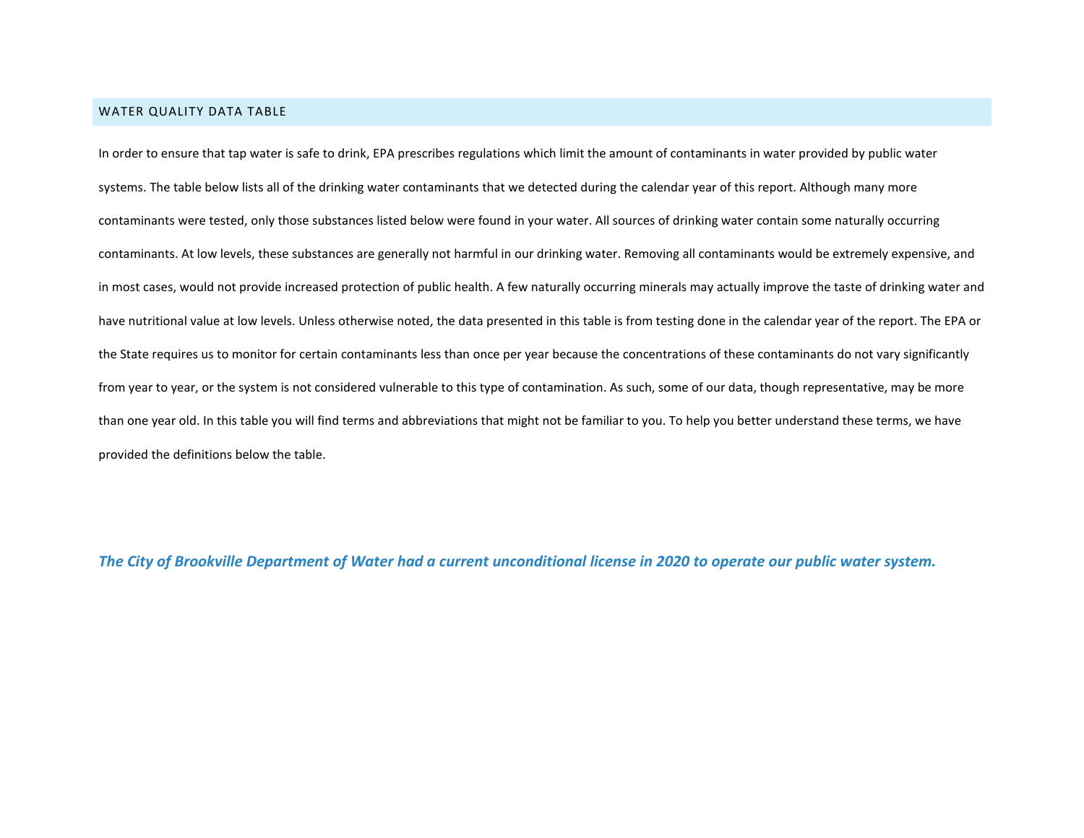#### WATER QUALITY DATA TABLE

In order to ensure that tap water is safe to drink, EPA prescribes regulations which limit the amount of contaminants in water provided by public water systems. The table below lists all of the drinking water contaminants that we detected during the calendar year of this report. Although many more contaminants were tested, only those substances listed below were found in your water. All sources of drinking water contain some naturally occurring contaminants. At low levels, these substances are generally not harmful in our drinking water. Removing all contaminants would be extremely expensive, and in most cases, would not provide increased protection of public health. A few naturally occurring minerals may actually improve the taste of drinking water and have nutritional value at low levels. Unless otherwise noted, the data presented in this table is from testing done in the calendar year of the report. The EPA or the State requires us to monitor for certain contaminants less than once per year because the concentrations of these contaminants do not vary significantly from year to year, or the system is not considered vulnerable to this type of contamination. As such, some of our data, though representative, may be more than one year old. In this table you will find terms and abbreviations that might not be familiar to you. To help you better understand these terms, we have provided the definitions below the table.

*The City of Brookville Department of Water had a current unconditional license in 2020 to operate our public water system.*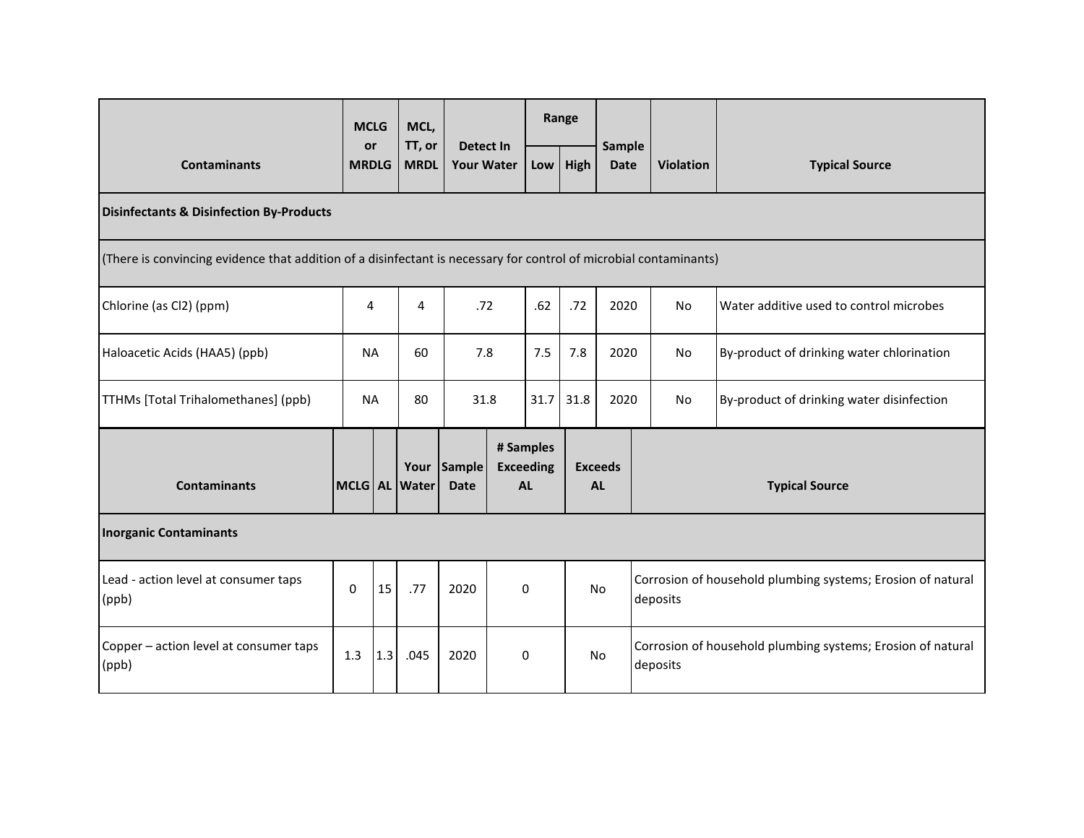| <b>Contaminants</b>                                                                                               |             | <b>MCLG</b>        | MCL,                  | <b>Detect In</b><br><b>Your Water</b> |  | Range                                      |      |                             |  |                                                                         |                                           |  |
|-------------------------------------------------------------------------------------------------------------------|-------------|--------------------|-----------------------|---------------------------------------|--|--------------------------------------------|------|-----------------------------|--|-------------------------------------------------------------------------|-------------------------------------------|--|
|                                                                                                                   |             | or<br><b>MRDLG</b> | TT, or<br><b>MRDL</b> |                                       |  | Low                                        | High | Sample<br><b>Date</b>       |  | <b>Violation</b>                                                        | <b>Typical Source</b>                     |  |
| <b>Disinfectants &amp; Disinfection By-Products</b>                                                               |             |                    |                       |                                       |  |                                            |      |                             |  |                                                                         |                                           |  |
| (There is convincing evidence that addition of a disinfectant is necessary for control of microbial contaminants) |             |                    |                       |                                       |  |                                            |      |                             |  |                                                                         |                                           |  |
| Chlorine (as Cl2) (ppm)                                                                                           | 4           |                    | 4                     | .72                                   |  | .62                                        | .72  | 2020                        |  | <b>No</b>                                                               | Water additive used to control microbes   |  |
| Haloacetic Acids (HAA5) (ppb)                                                                                     | <b>NA</b>   |                    | 60<br>7.8             |                                       |  | 7.5                                        | 7.8  | 2020                        |  | <b>No</b>                                                               | By-product of drinking water chlorination |  |
| TTHMs [Total Trihalomethanes] (ppb)                                                                               |             | <b>NA</b><br>80    |                       | 31.8                                  |  | 31.7                                       | 31.8 | 2020                        |  | No                                                                      | By-product of drinking water disinfection |  |
| <b>Contaminants</b>                                                                                               | $MCLG$ $AL$ |                    | Your<br><b>Water</b>  | Sample<br><b>Date</b>                 |  | # Samples<br><b>Exceeding</b><br><b>AL</b> |      | <b>Exceeds</b><br><b>AL</b> |  | <b>Typical Source</b>                                                   |                                           |  |
| <b>Inorganic Contaminants</b>                                                                                     |             |                    |                       |                                       |  |                                            |      |                             |  |                                                                         |                                           |  |
| Lead - action level at consumer taps<br>(ppb)                                                                     | $\Omega$    | 15                 | .77                   | 2020                                  |  | 0                                          |      | <b>No</b>                   |  | Corrosion of household plumbing systems; Erosion of natural<br>deposits |                                           |  |
| Copper - action level at consumer taps<br>(ppb)                                                                   | 1.3         | 1.3                | .045                  | 2020                                  |  | 0                                          |      | <b>No</b>                   |  | Corrosion of household plumbing systems; Erosion of natural<br>deposits |                                           |  |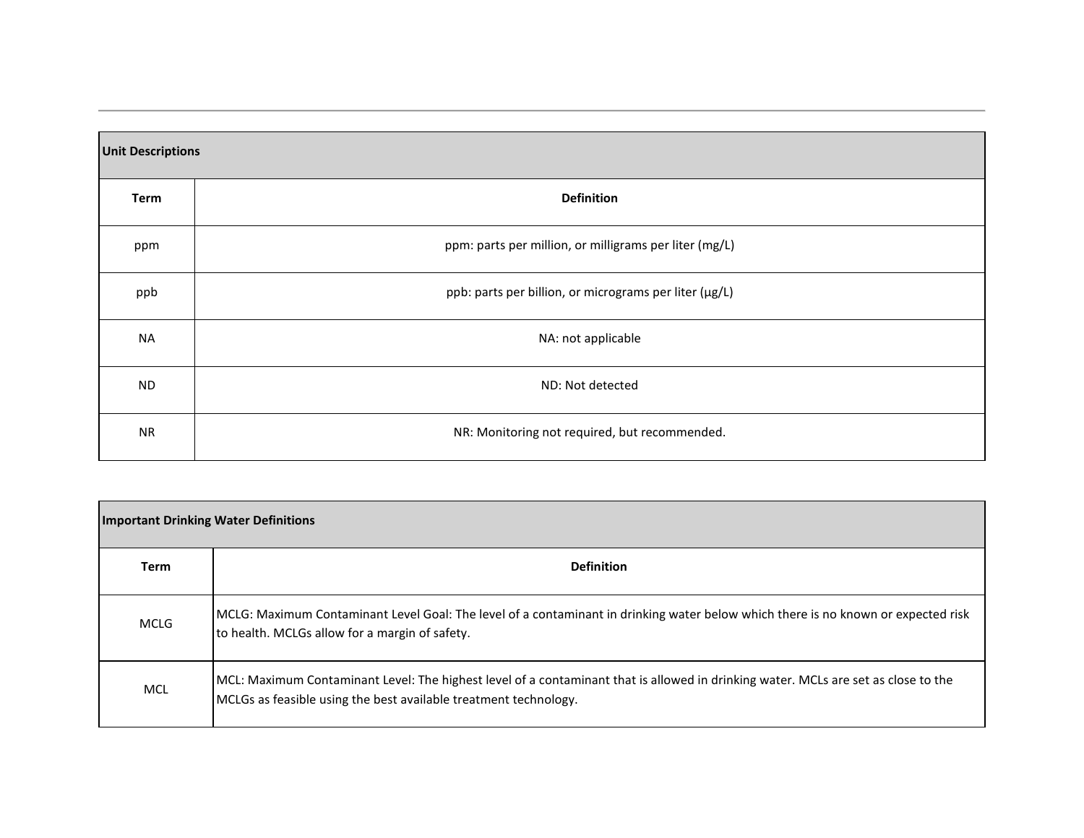| <b>Unit Descriptions</b> |                                                        |
|--------------------------|--------------------------------------------------------|
| Term                     | <b>Definition</b>                                      |
| ppm                      | ppm: parts per million, or milligrams per liter (mg/L) |
| ppb                      | ppb: parts per billion, or micrograms per liter (µg/L) |
| NA                       | NA: not applicable                                     |
| ND.                      | ND: Not detected                                       |
| <b>NR</b>                | NR: Monitoring not required, but recommended.          |

| <b>Term</b> | <b>Definition</b>                                                                                                                                                                                      |
|-------------|--------------------------------------------------------------------------------------------------------------------------------------------------------------------------------------------------------|
| <b>MCLG</b> | MCLG: Maximum Contaminant Level Goal: The level of a contaminant in drinking water below which there is no known or expected risk<br>to health. MCLGs allow for a margin of safety.                    |
| <b>MCL</b>  | MCL: Maximum Contaminant Level: The highest level of a contaminant that is allowed in drinking water. MCLs are set as close to the<br>MCLGs as feasible using the best available treatment technology. |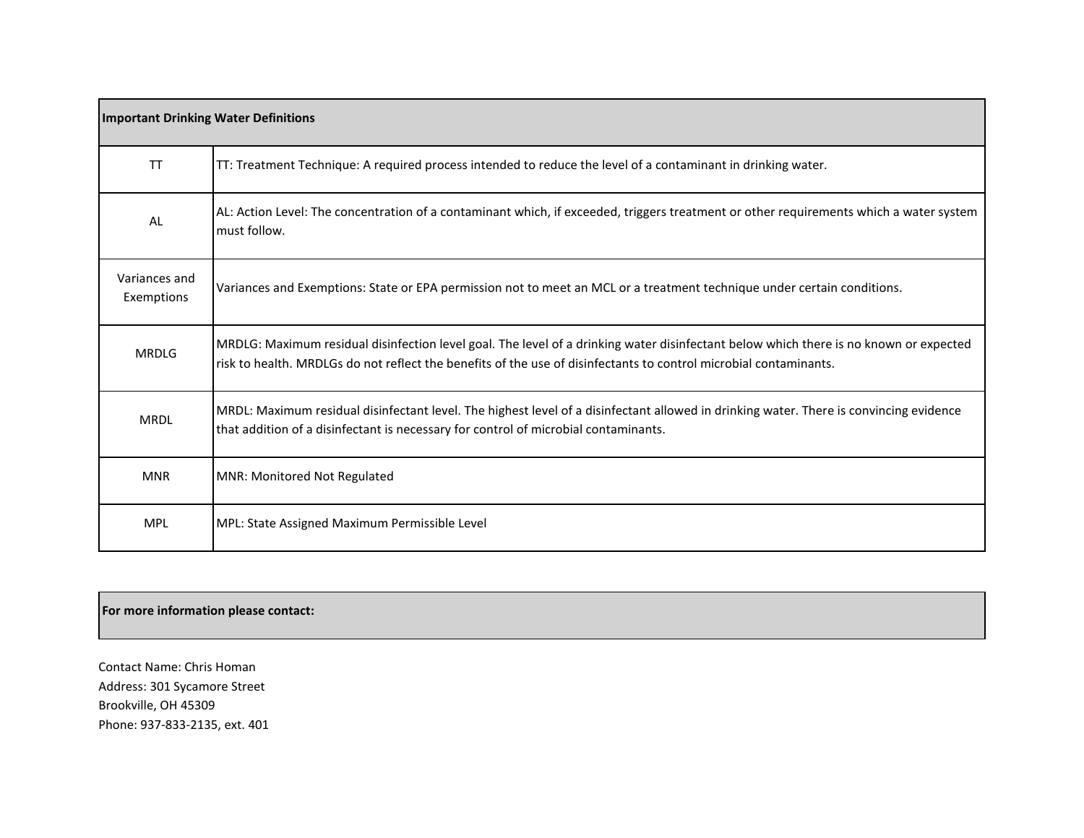| <b>Important Drinking Water Definitions</b> |                                                                                                                                                                                                                                                            |
|---------------------------------------------|------------------------------------------------------------------------------------------------------------------------------------------------------------------------------------------------------------------------------------------------------------|
| <b>TT</b>                                   | TT: Treatment Technique: A required process intended to reduce the level of a contaminant in drinking water.                                                                                                                                               |
| AL                                          | AL: Action Level: The concentration of a contaminant which, if exceeded, triggers treatment or other requirements which a water system<br>must follow.                                                                                                     |
| Variances and<br>Exemptions                 | Variances and Exemptions: State or EPA permission not to meet an MCL or a treatment technique under certain conditions.                                                                                                                                    |
| <b>MRDLG</b>                                | MRDLG: Maximum residual disinfection level goal. The level of a drinking water disinfectant below which there is no known or expected<br>risk to health. MRDLGs do not reflect the benefits of the use of disinfectants to control microbial contaminants. |
| <b>MRDL</b>                                 | MRDL: Maximum residual disinfectant level. The highest level of a disinfectant allowed in drinking water. There is convincing evidence<br>that addition of a disinfectant is necessary for control of microbial contaminants.                              |
| <b>MNR</b>                                  | <b>MNR: Monitored Not Regulated</b>                                                                                                                                                                                                                        |
| <b>MPL</b>                                  | MPL: State Assigned Maximum Permissible Level                                                                                                                                                                                                              |

#### **For more information please contact:**

Contact Name: Chris Homan Address: 301 Sycamore Street Brookville, OH 45309 Phone: 937-833-2135, ext. 401